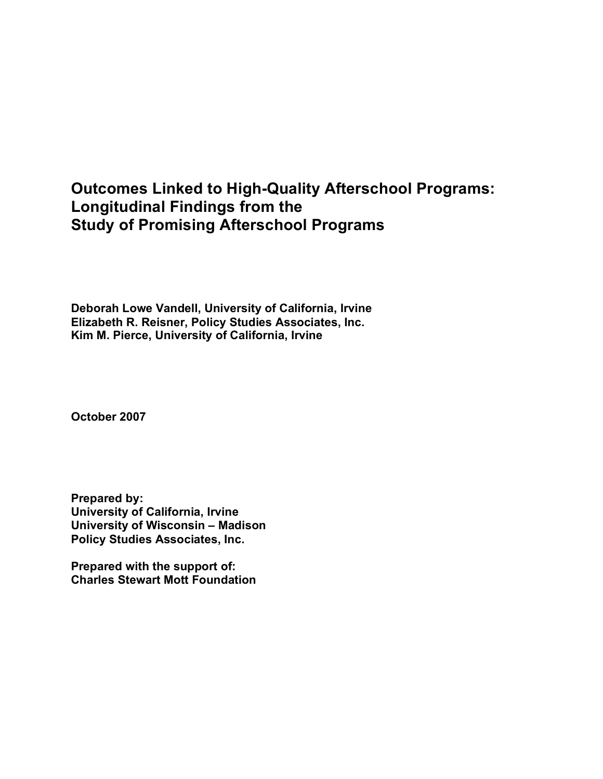# **Outcomes Linked to High-Quality Afterschool Programs: Longitudinal Findings from the Study of Promising Afterschool Programs**

**Deborah Lowe Vandell, University of California, Irvine Elizabeth R. Reisner, Policy Studies Associates, Inc. Kim M. Pierce, University of California, Irvine**

**October 2007**

**Prepared by: University of California, Irvine University of Wisconsin – Madison Policy Studies Associates, Inc.**

**Prepared with the support of: Charles Stewart Mott Foundation**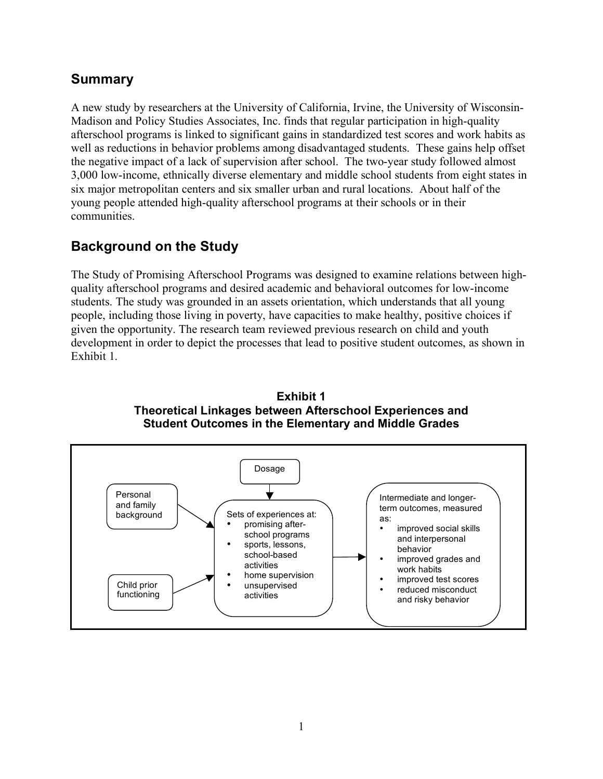### **Summary**

A new study by researchers at the University of California, Irvine, the University of Wisconsin-Madison and Policy Studies Associates, Inc. finds that regular participation in high-quality afterschool programs is linked to significant gains in standardized test scores and work habits as well as reductions in behavior problems among disadvantaged students. These gains help offset the negative impact of a lack of supervision after school. The two-year study followed almost 3,000 low-income, ethnically diverse elementary and middle school students from eight states in six major metropolitan centers and six smaller urban and rural locations. About half of the young people attended high-quality afterschool programs at their schools or in their communities.

## **Background on the Study**

The Study of Promising Afterschool Programs was designed to examine relations between highquality afterschool programs and desired academic and behavioral outcomes for low-income students. The study was grounded in an assets orientation, which understands that all young people, including those living in poverty, have capacities to make healthy, positive choices if given the opportunity. The research team reviewed previous research on child and youth development in order to depict the processes that lead to positive student outcomes, as shown in Exhibit 1.



**Exhibit 1 Theoretical Linkages between Afterschool Experiences and Student Outcomes in the Elementary and Middle Grades**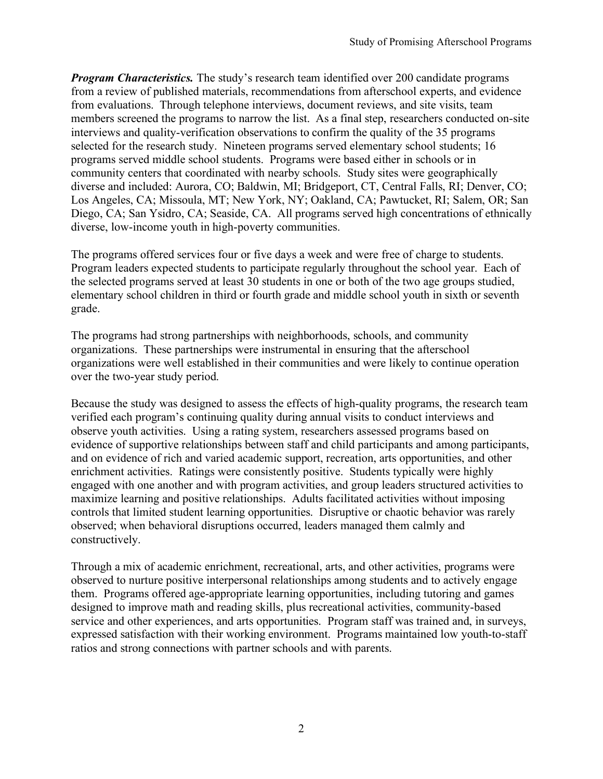*Program Characteristics.* The study's research team identified over 200 candidate programs from a review of published materials, recommendations from afterschool experts, and evidence from evaluations. Through telephone interviews, document reviews, and site visits, team members screened the programs to narrow the list. As a final step, researchers conducted on-site interviews and quality-verification observations to confirm the quality of the 35 programs selected for the research study. Nineteen programs served elementary school students; 16 programs served middle school students. Programs were based either in schools or in community centers that coordinated with nearby schools. Study sites were geographically diverse and included: Aurora, CO; Baldwin, MI; Bridgeport, CT, Central Falls, RI; Denver, CO; Los Angeles, CA; Missoula, MT; New York, NY; Oakland, CA; Pawtucket, RI; Salem, OR; San Diego, CA; San Ysidro, CA; Seaside, CA. All programs served high concentrations of ethnically diverse, low-income youth in high-poverty communities.

The programs offered services four or five days a week and were free of charge to students. Program leaders expected students to participate regularly throughout the school year. Each of the selected programs served at least 30 students in one or both of the two age groups studied, elementary school children in third or fourth grade and middle school youth in sixth or seventh grade.

The programs had strong partnerships with neighborhoods, schools, and community organizations. These partnerships were instrumental in ensuring that the afterschool organizations were well established in their communities and were likely to continue operation over the two-year study period.

Because the study was designed to assess the effects of high-quality programs, the research team verified each program's continuing quality during annual visits to conduct interviews and observe youth activities. Using a rating system, researchers assessed programs based on evidence of supportive relationships between staff and child participants and among participants, and on evidence of rich and varied academic support, recreation, arts opportunities, and other enrichment activities. Ratings were consistently positive. Students typically were highly engaged with one another and with program activities, and group leaders structured activities to maximize learning and positive relationships. Adults facilitated activities without imposing controls that limited student learning opportunities. Disruptive or chaotic behavior was rarely observed; when behavioral disruptions occurred, leaders managed them calmly and constructively.

Through a mix of academic enrichment, recreational, arts, and other activities, programs were observed to nurture positive interpersonal relationships among students and to actively engage them. Programs offered age-appropriate learning opportunities, including tutoring and games designed to improve math and reading skills, plus recreational activities, community-based service and other experiences, and arts opportunities. Program staff was trained and, in surveys, expressed satisfaction with their working environment. Programs maintained low youth-to-staff ratios and strong connections with partner schools and with parents.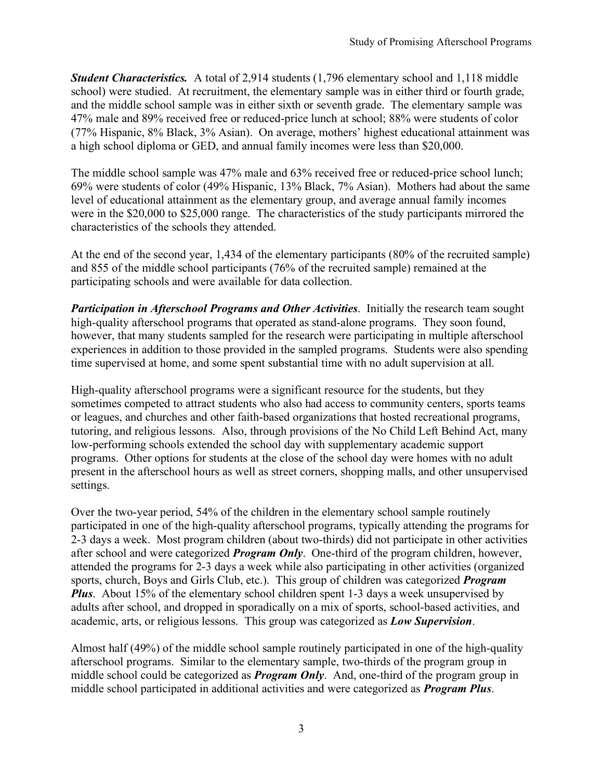*Student Characteristics.* A total of 2,914 students (1,796 elementary school and 1,118 middle school) were studied. At recruitment, the elementary sample was in either third or fourth grade, and the middle school sample was in either sixth or seventh grade. The elementary sample was 47% male and 89% received free or reduced-price lunch at school; 88% were students of color (77% Hispanic, 8% Black, 3% Asian). On average, mothers' highest educational attainment was a high school diploma or GED, and annual family incomes were less than \$20,000.

The middle school sample was 47% male and 63% received free or reduced-price school lunch; 69% were students of color (49% Hispanic, 13% Black, 7% Asian). Mothers had about the same level of educational attainment as the elementary group, and average annual family incomes were in the \$20,000 to \$25,000 range. The characteristics of the study participants mirrored the characteristics of the schools they attended.

At the end of the second year, 1,434 of the elementary participants (80% of the recruited sample) and 855 of the middle school participants (76% of the recruited sample) remained at the participating schools and were available for data collection.

*Participation in Afterschool Programs and Other Activities*. Initially the research team sought high-quality afterschool programs that operated as stand-alone programs. They soon found, however, that many students sampled for the research were participating in multiple afterschool experiences in addition to those provided in the sampled programs. Students were also spending time supervised at home, and some spent substantial time with no adult supervision at all.

High-quality afterschool programs were a significant resource for the students, but they sometimes competed to attract students who also had access to community centers, sports teams or leagues, and churches and other faith-based organizations that hosted recreational programs, tutoring, and religious lessons. Also, through provisions of the No Child Left Behind Act, many low-performing schools extended the school day with supplementary academic support programs. Other options for students at the close of the school day were homes with no adult present in the afterschool hours as well as street corners, shopping malls, and other unsupervised settings.

Over the two-year period, 54% of the children in the elementary school sample routinely participated in one of the high-quality afterschool programs, typically attending the programs for 2-3 days a week. Most program children (about two-thirds) did not participate in other activities after school and were categorized *Program Only*. One-third of the program children, however, attended the programs for 2-3 days a week while also participating in other activities (organized sports, church, Boys and Girls Club, etc.). This group of children was categorized *Program Plus*. About 15% of the elementary school children spent 1-3 days a week unsupervised by adults after school, and dropped in sporadically on a mix of sports, school-based activities, and academic, arts, or religious lessons. This group was categorized as *Low Supervision*.

Almost half (49%) of the middle school sample routinely participated in one of the high-quality afterschool programs. Similar to the elementary sample, two-thirds of the program group in middle school could be categorized as *Program Only*. And, one-third of the program group in middle school participated in additional activities and were categorized as *Program Plus*.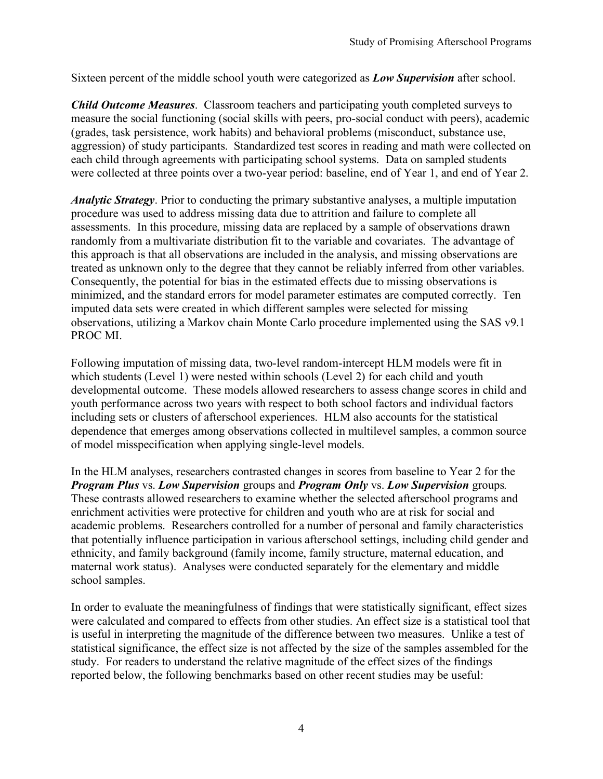Sixteen percent of the middle school youth were categorized as *Low Supervision* after school.

*Child Outcome Measures*. Classroom teachers and participating youth completed surveys to measure the social functioning (social skills with peers, pro-social conduct with peers), academic (grades, task persistence, work habits) and behavioral problems (misconduct, substance use, aggression) of study participants. Standardized test scores in reading and math were collected on each child through agreements with participating school systems. Data on sampled students were collected at three points over a two-year period: baseline, end of Year 1, and end of Year 2.

*Analytic Strategy*. Prior to conducting the primary substantive analyses, a multiple imputation procedure was used to address missing data due to attrition and failure to complete all assessments. In this procedure, missing data are replaced by a sample of observations drawn randomly from a multivariate distribution fit to the variable and covariates. The advantage of this approach is that all observations are included in the analysis, and missing observations are treated as unknown only to the degree that they cannot be reliably inferred from other variables. Consequently, the potential for bias in the estimated effects due to missing observations is minimized, and the standard errors for model parameter estimates are computed correctly. Ten imputed data sets were created in which different samples were selected for missing observations, utilizing a Markov chain Monte Carlo procedure implemented using the SAS v9.1 PROC MI.

Following imputation of missing data, two-level random-intercept HLM models were fit in which students (Level 1) were nested within schools (Level 2) for each child and youth developmental outcome. These models allowed researchers to assess change scores in child and youth performance across two years with respect to both school factors and individual factors including sets or clusters of afterschool experiences. HLM also accounts for the statistical dependence that emerges among observations collected in multilevel samples, a common source of model misspecification when applying single-level models.

In the HLM analyses, researchers contrasted changes in scores from baseline to Year 2 for the *Program Plus* vs. *Low Supervision* groups and *Program Only* vs. *Low Supervision* groups*.* These contrasts allowed researchers to examine whether the selected afterschool programs and enrichment activities were protective for children and youth who are at risk for social and academic problems. Researchers controlled for a number of personal and family characteristics that potentially influence participation in various afterschool settings, including child gender and ethnicity, and family background (family income, family structure, maternal education, and maternal work status). Analyses were conducted separately for the elementary and middle school samples.

In order to evaluate the meaningfulness of findings that were statistically significant, effect sizes were calculated and compared to effects from other studies. An effect size is a statistical tool that is useful in interpreting the magnitude of the difference between two measures. Unlike a test of statistical significance, the effect size is not affected by the size of the samples assembled for the study. For readers to understand the relative magnitude of the effect sizes of the findings reported below, the following benchmarks based on other recent studies may be useful: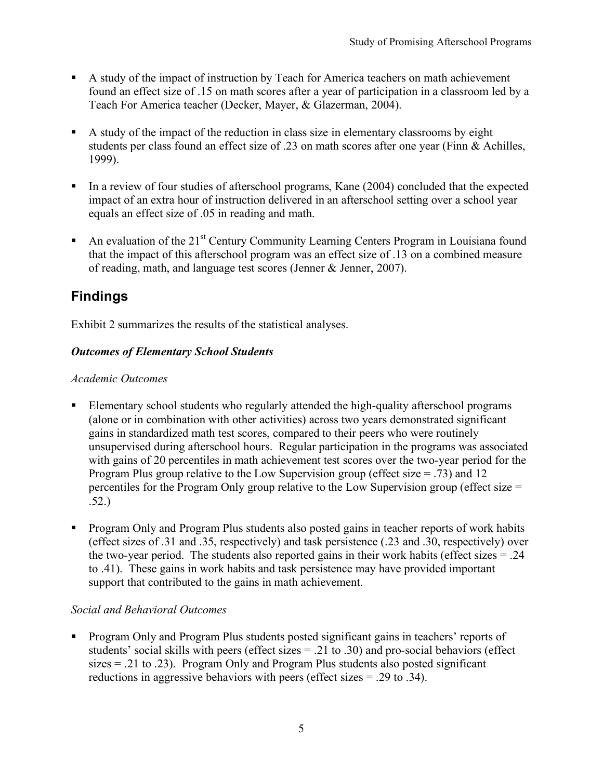- A study of the impact of instruction by Teach for America teachers on math achievement found an effect size of .15 on math scores after a year of participation in a classroom led by a Teach For America teacher (Decker, Mayer, & Glazerman, 2004).
- A study of the impact of the reduction in class size in elementary classrooms by eight students per class found an effect size of .23 on math scores after one year (Finn & Achilles, 1999).
- In a review of four studies of afterschool programs, Kane (2004) concluded that the expected impact of an extra hour of instruction delivered in an afterschool setting over a school year equals an effect size of .05 in reading and math.
- An evaluation of the  $21<sup>st</sup>$  Century Community Learning Centers Program in Louisiana found that the impact of this afterschool program was an effect size of .13 on a combined measure of reading, math, and language test scores (Jenner & Jenner, 2007).

## **Findings**

Exhibit 2 summarizes the results of the statistical analyses.

#### *Outcomes of Elementary School Students*

#### *Academic Outcomes*

- Elementary school students who regularly attended the high-quality afterschool programs (alone or in combination with other activities) across two years demonstrated significant gains in standardized math test scores, compared to their peers who were routinely unsupervised during afterschool hours. Regular participation in the programs was associated with gains of 20 percentiles in math achievement test scores over the two-year period for the Program Plus group relative to the Low Supervision group (effect size = .73) and 12 percentiles for the Program Only group relative to the Low Supervision group (effect size = .52.)
- Program Only and Program Plus students also posted gains in teacher reports of work habits (effect sizes of .31 and .35, respectively) and task persistence (.23 and .30, respectively) over the two-year period. The students also reported gains in their work habits (effect sizes  $= .24$ ) to .41). These gains in work habits and task persistence may have provided important support that contributed to the gains in math achievement.

#### *Social and Behavioral Outcomes*

**Program Only and Program Plus students posted significant gains in teachers' reports of** students' social skills with peers (effect sizes = .21 to .30) and pro-social behaviors (effect  $sizes = .21$  to  $.23$ ). Program Only and Program Plus students also posted significant reductions in aggressive behaviors with peers (effect sizes = .29 to .34).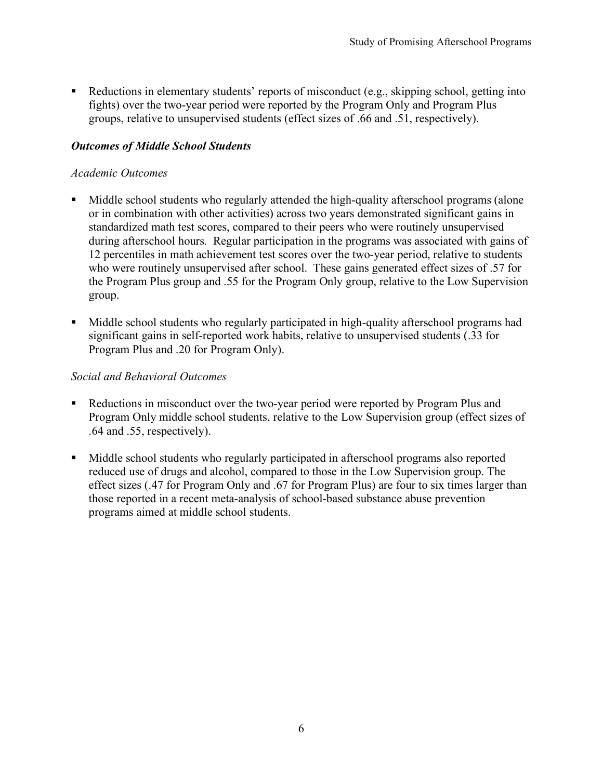Reductions in elementary students' reports of misconduct (e.g., skipping school, getting into fights) over the two-year period were reported by the Program Only and Program Plus groups, relative to unsupervised students (effect sizes of .66 and .51, respectively).

#### *Outcomes of Middle School Students*

#### *Academic Outcomes*

- Middle school students who regularly attended the high-quality afterschool programs (alone or in combination with other activities) across two years demonstrated significant gains in standardized math test scores, compared to their peers who were routinely unsupervised during afterschool hours. Regular participation in the programs was associated with gains of 12 percentiles in math achievement test scores over the two-year period, relative to students who were routinely unsupervised after school. These gains generated effect sizes of .57 for the Program Plus group and .55 for the Program Only group, relative to the Low Supervision group.
- Middle school students who regularly participated in high-quality afterschool programs had significant gains in self-reported work habits, relative to unsupervised students (.33 for Program Plus and .20 for Program Only).

#### *Social and Behavioral Outcomes*

- Reductions in misconduct over the two-year period were reported by Program Plus and Program Only middle school students, relative to the Low Supervision group (effect sizes of .64 and .55, respectively).
- Middle school students who regularly participated in afterschool programs also reported reduced use of drugs and alcohol, compared to those in the Low Supervision group. The effect sizes (.47 for Program Only and .67 for Program Plus) are four to six times larger than those reported in a recent meta-analysis of school-based substance abuse prevention programs aimed at middle school students.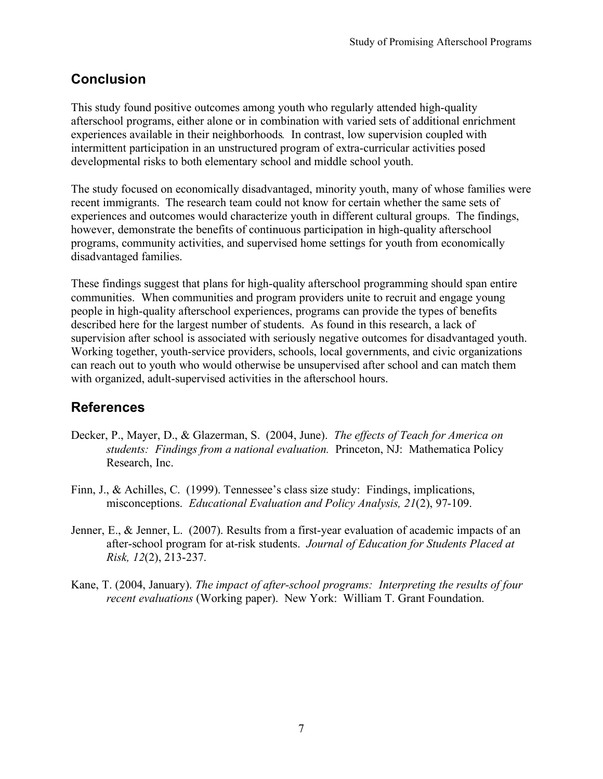### **Conclusion**

This study found positive outcomes among youth who regularly attended high-quality afterschool programs, either alone or in combination with varied sets of additional enrichment experiences available in their neighborhoods*.* In contrast, low supervision coupled with intermittent participation in an unstructured program of extra-curricular activities posed developmental risks to both elementary school and middle school youth.

The study focused on economically disadvantaged, minority youth, many of whose families were recent immigrants. The research team could not know for certain whether the same sets of experiences and outcomes would characterize youth in different cultural groups. The findings, however, demonstrate the benefits of continuous participation in high-quality afterschool programs, community activities, and supervised home settings for youth from economically disadvantaged families.

These findings suggest that plans for high-quality afterschool programming should span entire communities. When communities and program providers unite to recruit and engage young people in high-quality afterschool experiences, programs can provide the types of benefits described here for the largest number of students. As found in this research, a lack of supervision after school is associated with seriously negative outcomes for disadvantaged youth. Working together, youth-service providers, schools, local governments, and civic organizations can reach out to youth who would otherwise be unsupervised after school and can match them with organized, adult-supervised activities in the afterschool hours.

### **References**

- Decker, P., Mayer, D., & Glazerman, S. (2004, June). *The effects of Teach for America on students: Findings from a national evaluation.* Princeton, NJ: Mathematica Policy Research, Inc.
- Finn, J., & Achilles, C. (1999). Tennessee's class size study: Findings, implications, misconceptions. *Educational Evaluation and Policy Analysis, 21*(2), 97-109.
- Jenner, E., & Jenner, L. (2007). Results from a first-year evaluation of academic impacts of an after-school program for at-risk students. *Journal of Education for Students Placed at Risk, 12*(2), 213-237.
- Kane, T. (2004, January). *The impact of after-school programs: Interpreting the results of four recent evaluations* (Working paper). New York: William T. Grant Foundation.